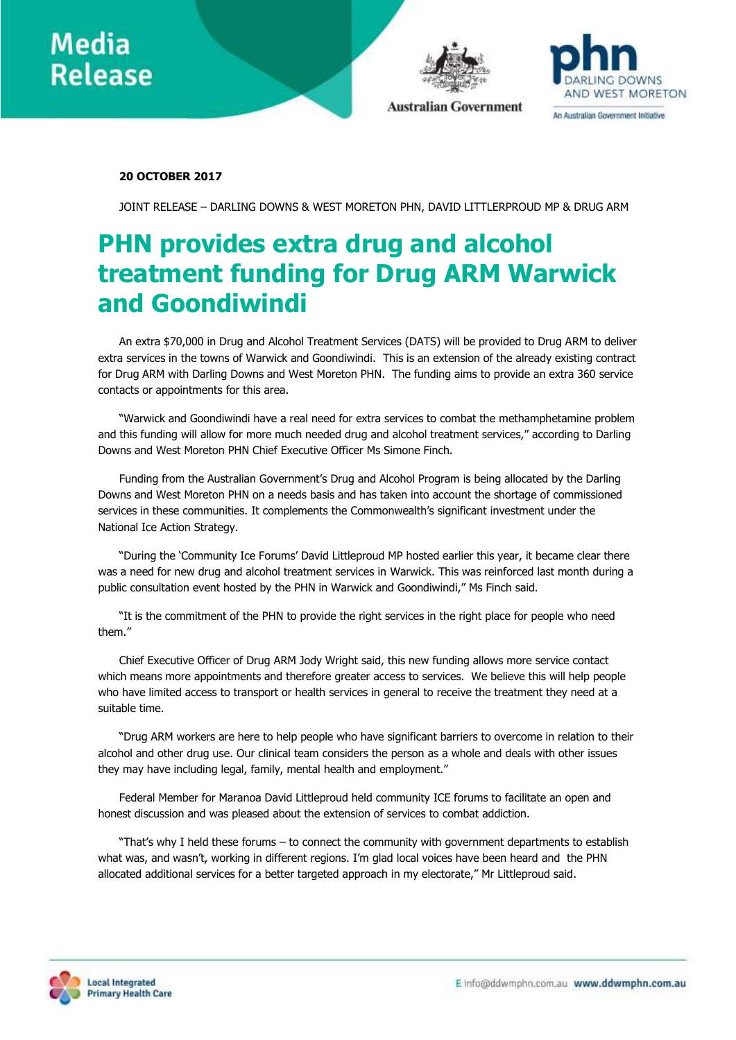# **Media Release**





**20 OCTOBER 2017**

JOINT RELEASE – DARLING DOWNS & WEST MORETON PHN, DAVID LITTLERPROUD MP & DRUG ARM

## **PHN provides extra drug and alcohol treatment funding for Drug ARM Warwick and Goondiwindi**

An extra \$70,000 in Drug and Alcohol Treatment Services (DATS) will be provided to Drug ARM to deliver extra services in the towns of Warwick and Goondiwindi. This is an extension of the already existing contract for Drug ARM with Darling Downs and West Moreton PHN. The funding aims to provide an extra 360 service contacts or appointments for this area.

"Warwick and Goondiwindi have a real need for extra services to combat the methamphetamine problem and this funding will allow for more much needed drug and alcohol treatment services," according to Darling Downs and West Moreton PHN Chief Executive Officer Ms Simone Finch.

Funding from the Australian Government's Drug and Alcohol Program is being allocated by the Darling Downs and West Moreton PHN on a needs basis and has taken into account the shortage of commissioned services in these communities. It complements the Commonwealth's significant investment under the National Ice Action Strategy.

"During the 'Community Ice Forums' David Littleproud MP hosted earlier this year, it became clear there was a need for new drug and alcohol treatment services in Warwick. This was reinforced last month during a public consultation event hosted by the PHN in Warwick and Goondiwindi," Ms Finch said.

"It is the commitment of the PHN to provide the right services in the right place for people who need them."

Chief Executive Officer of Drug ARM Jody Wright said, this new funding allows more service contact which means more appointments and therefore greater access to services. We believe this will help people who have limited access to transport or health services in general to receive the treatment they need at a suitable time.

"Drug ARM workers are here to help people who have significant barriers to overcome in relation to their alcohol and other drug use. Our clinical team considers the person as a whole and deals with other issues they may have including legal, family, mental health and employment."

Federal Member for Maranoa David Littleproud held community ICE forums to facilitate an open and honest discussion and was pleased about the extension of services to combat addiction.

"That's why I held these forums – to connect the community with government departments to establish what was, and wasn't, working in different regions. I'm glad local voices have been heard and the PHN allocated additional services for a better targeted approach in my electorate," Mr Littleproud said.